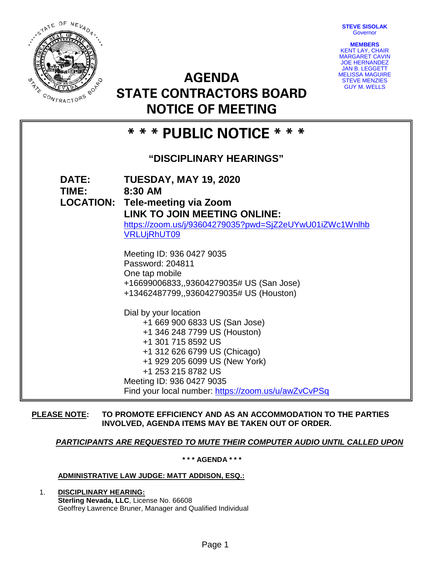**STEVE SISOLAK Governor** 



**AGENDA STATE CONTRACTORS BOARD NOTICE OF MEETING**



# **\* \* \* PUBLIC NOTICE \* \* \***

# **"DISCIPLINARY HEARINGS"**

| <b>DATE:</b><br>TIME: | <b>TUESDAY, MAY 19, 2020</b><br>8:30 AM<br><b>LOCATION: Tele-meeting via Zoom</b><br><b>LINK TO JOIN MEETING ONLINE:</b><br>https://zoom.us/j/93604279035?pwd=SjZ2eUYwU01iZWc1Wnlhb<br><b>VRLUjRhUT09</b>                                                                               |
|-----------------------|-----------------------------------------------------------------------------------------------------------------------------------------------------------------------------------------------------------------------------------------------------------------------------------------|
|                       | Meeting ID: 936 0427 9035<br>Password: 204811<br>One tap mobile<br>+16699006833,,93604279035# US (San Jose)<br>+13462487799,,93604279035# US (Houston)                                                                                                                                  |
|                       | Dial by your location<br>+1 669 900 6833 US (San Jose)<br>+1 346 248 7799 US (Houston)<br>+1 301 715 8592 US<br>+1 312 626 6799 US (Chicago)<br>+1 929 205 6099 US (New York)<br>+1 253 215 8782 US<br>Meeting ID: 936 0427 9035<br>Find your local number: https://zoom.us/u/awZvCvPSq |

#### **PLEASE NOTE: TO PROMOTE EFFICIENCY AND AS AN ACCOMMODATION TO THE PARTIES INVOLVED, AGENDA ITEMS MAY BE TAKEN OUT OF ORDER.**

## *PARTICIPANTS ARE REQUESTED TO MUTE THEIR COMPUTER AUDIO UNTIL CALLED UPON*

**\* \* \* AGENDA \* \* \***

#### **ADMINISTRATIVE LAW JUDGE: MATT ADDISON, ESQ.:**

1. **DISCIPLINARY HEARING: Sterling Nevada, LLC**, License No. 66608 Geoffrey Lawrence Bruner, Manager and Qualified Individual